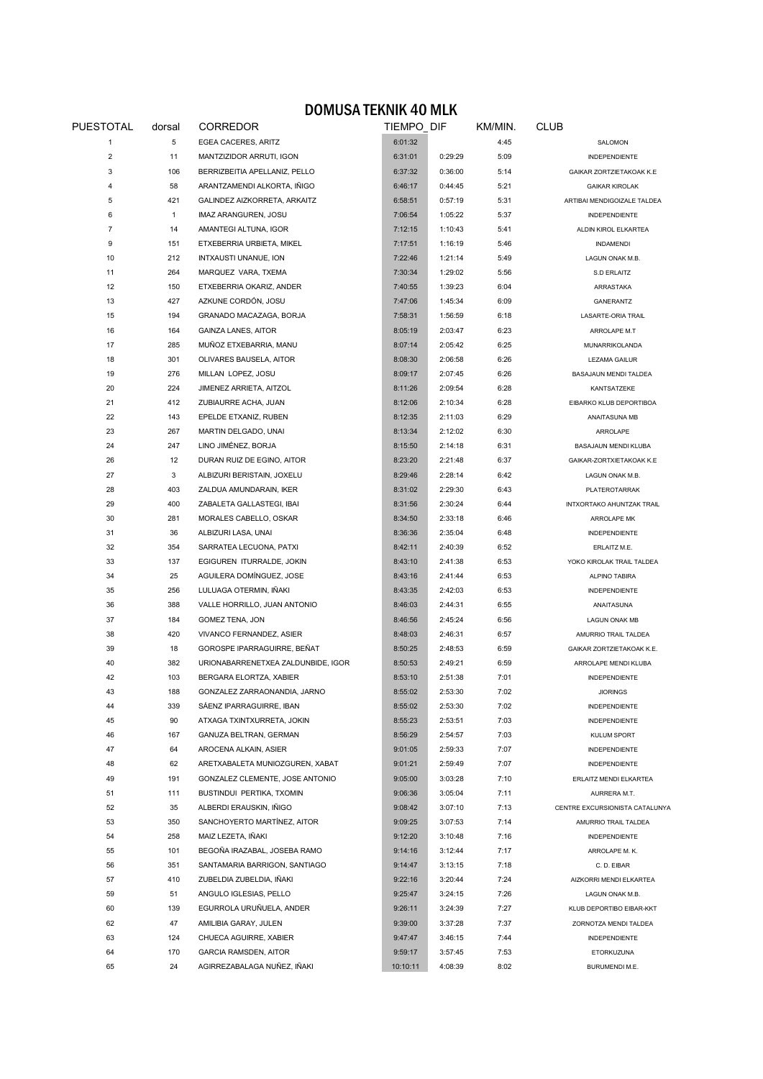## DOMUSA TEKNIK 40 MLK

| PUESTOTAL      | dorsal       | CORREDOR                           |          | TIEMPO DIF |      | <b>CLUB</b>                    |  |
|----------------|--------------|------------------------------------|----------|------------|------|--------------------------------|--|
| 1              | 5            | EGEA CACERES, ARITZ                | 6:01:32  |            | 4:45 | SALOMON                        |  |
| 2              | 11           | MANTZIZIDOR ARRUTI, IGON           | 6:31:01  | 0:29:29    | 5:09 | <b>INDEPENDIENTE</b>           |  |
| 3              | 106          | BERRIZBEITIA APELLANIZ, PELLO      | 6:37:32  | 0:36:00    | 5:14 | GAIKAR ZORTZIETAKOAK K.E       |  |
| $\overline{4}$ | 58           | ARANTZAMENDI ALKORTA, IÑIGO        | 6:46:17  | 0:44:45    | 5:21 | <b>GAIKAR KIROLAK</b>          |  |
| 5              | 421          | GALINDEZ AIZKORRETA, ARKAITZ       | 6:58:51  | 0:57:19    | 5:31 | ARTIBAI MENDIGOIZALE TALDEA    |  |
| 6              | $\mathbf{1}$ | IMAZ ARANGUREN, JOSU               | 7:06:54  | 1:05:22    | 5:37 | <b>INDEPENDIENTE</b>           |  |
| 7              | 14           | AMANTEGI ALTUNA, IGOR              | 7:12:15  | 1:10:43    | 5:41 | ALDIN KIROL ELKARTEA           |  |
| 9              | 151          | ETXEBERRIA URBIETA, MIKEL          | 7:17:51  | 1:16:19    | 5:46 | <b>INDAMENDI</b>               |  |
| 10             | 212          | INTXAUSTI UNANUE, ION              | 7:22:46  | 1:21:14    | 5:49 | LAGUN ONAK M.B.                |  |
| 11             | 264          | MARQUEZ VARA, TXEMA                | 7:30:34  | 1:29:02    | 5:56 | S.D ERLAITZ                    |  |
| 12             | 150          | ETXEBERRIA OKARIZ, ANDER           | 7:40:55  | 1:39:23    | 6:04 | ARRASTAKA                      |  |
| 13             | 427          | AZKUNE CORDÓN, JOSU                | 7:47:06  | 1:45:34    | 6:09 | GANERANTZ                      |  |
| 15             | 194          | GRANADO MACAZAGA, BORJA            | 7:58:31  | 1:56:59    | 6:18 | LASARTE-ORIA TRAIL             |  |
| 16             | 164          | <b>GAINZA LANES, AITOR</b>         | 8:05:19  | 2:03:47    | 6:23 | ARROLAPE M.T                   |  |
| 17             | 285          | MUÑOZ ETXEBARRIA, MANU             | 8:07:14  | 2:05:42    | 6:25 | MUNARRIKOLANDA                 |  |
| 18             | 301          | OLIVARES BAUSELA, AITOR            | 8:08:30  | 2:06:58    | 6:26 | LEZAMA GAILUR                  |  |
| 19             | 276          | MILLAN LOPEZ, JOSU                 | 8:09:17  | 2:07:45    | 6:26 | BASAJAUN MENDI TALDEA          |  |
| 20             | 224          | JIMENEZ ARRIETA, AITZOL            | 8:11:26  | 2:09:54    | 6:28 | KANTSATZEKE                    |  |
| 21             | 412          | ZUBIAURRE ACHA, JUAN               | 8:12:06  | 2:10:34    | 6:28 | EIBARKO KLUB DEPORTIBOA        |  |
| 22             | 143          | EPELDE ETXANIZ, RUBEN              | 8:12:35  | 2:11:03    | 6:29 | ANAITASUNA MB                  |  |
| 23             | 267          | MARTIN DELGADO, UNAI               | 8:13:34  | 2:12:02    | 6:30 | ARROLAPE                       |  |
| 24             | 247          | LINO JIMÉNEZ, BORJA                | 8:15:50  | 2:14:18    | 6:31 | BASAJAUN MENDI KLUBA           |  |
| 26             | 12           | DURAN RUIZ DE EGINO, AITOR         | 8:23:20  | 2:21:48    | 6:37 | GAIKAR-ZORTXIETAKOAK K.E       |  |
| 27             | 3            | ALBIZURI BERISTAIN, JOXELU         | 8:29:46  | 2:28:14    | 6:42 | LAGUN ONAK M.B.                |  |
| 28             | 403          | ZALDUA AMUNDARAIN, IKER            | 8:31:02  | 2:29:30    | 6:43 | PLATEROTARRAK                  |  |
| 29             | 400          | ZABALETA GALLASTEGI, IBAI          | 8:31:56  | 2:30:24    | 6:44 | INTXORTAKO AHUNTZAK TRAIL      |  |
|                |              |                                    |          |            |      |                                |  |
| 30             | 281          | MORALES CABELLO, OSKAR             | 8:34:50  | 2:33:18    | 6:46 | ARROLAPE MK                    |  |
| 31             | 36           | ALBIZURI LASA, UNAI                | 8:36:36  | 2:35:04    | 6:48 | INDEPENDIENTE                  |  |
| 32             | 354          | SARRATEA LECUONA, PATXI            | 8:42:11  | 2:40:39    | 6:52 | ERLAITZ M.E.                   |  |
| 33             | 137          | EGIGUREN ITURRALDE, JOKIN          | 8:43:10  | 2:41:38    | 6:53 | YOKO KIROLAK TRAIL TALDEA      |  |
| 34             | 25           | AGUILERA DOMÍNGUEZ, JOSE           | 8:43:16  | 2:41:44    | 6:53 | ALPINO TABIRA                  |  |
| 35             | 256          | LULUAGA OTERMIN, IÑAKI             | 8:43:35  | 2:42:03    | 6:53 | <b>INDEPENDIENTE</b>           |  |
| 36             | 388          | VALLE HORRILLO, JUAN ANTONIO       | 8:46:03  | 2:44:31    | 6:55 | ANAITASUNA                     |  |
| 37             | 184          | GOMEZ TENA, JON                    | 8:46:56  | 2:45:24    | 6:56 | <b>LAGUN ONAK MB</b>           |  |
| 38             | 420          | VIVANCO FERNANDEZ, ASIER           | 8:48:03  | 2:46:31    | 6:57 | AMURRIO TRAIL TALDEA           |  |
| 39             | 18           | GOROSPE IPARRAGUIRRE, BEÑAT        | 8:50:25  | 2:48:53    | 6:59 | GAIKAR ZORTZIETAKOAK K.E.      |  |
| 40             | 382          | URIONABARRENETXEA ZALDUNBIDE, IGOR | 8:50:53  | 2:49:21    | 6:59 | ARROLAPE MENDI KLUBA           |  |
| 42             | 103          | BERGARA ELORTZA, XABIER            | 8:53:10  | 2:51:38    | 7:01 | <b>INDEPENDIENTE</b>           |  |
| 43             | 188          | GONZALEZ ZARRAONANDIA, JARNO       | 8:55:02  | 2:53:30    | 7:02 | <b>JIORINGS</b>                |  |
| 44             | 339          | SÁENZ IPARRAGUIRRE, IBAN           | 8:55:02  | 2:53:30    | 7:02 | <b>INDEPENDIENTE</b>           |  |
| 45             | 90           | ATXAGA TXINTXURRETA, JOKIN         | 8:55:23  | 2:53:51    | 7:03 | <b>INDEPENDIENTE</b>           |  |
| 46             | 167          | GANUZA BELTRAN, GERMAN             | 8:56:29  | 2:54:57    | 7:03 | KULUM SPORT                    |  |
| 47             | 64           | AROCENA ALKAIN, ASIER              | 9:01:05  | 2:59:33    | 7:07 | INDEPENDIENTE                  |  |
| 48             | 62           | ARETXABALETA MUNIOZGUREN, XABAT    | 9:01:21  | 2:59:49    | 7:07 | <b>INDEPENDIENTE</b>           |  |
| 49             | 191          | GONZALEZ CLEMENTE, JOSE ANTONIO    | 9:05:00  | 3:03:28    | 7:10 | ERLAITZ MENDI ELKARTEA         |  |
| 51             | 111          | BUSTINDUI PERTIKA, TXOMIN          | 9:06:36  | 3:05:04    | 7:11 | AURRERA M.T.                   |  |
| 52             | 35           | ALBERDI ERAUSKIN, IÑIGO            | 9:08:42  | 3:07:10    | 7:13 | CENTRE EXCURSIONISTA CATALUNYA |  |
| 53             | 350          | SANCHOYERTO MARTÍNEZ, AITOR        | 9:09:25  | 3:07:53    | 7:14 | AMURRIO TRAIL TALDEA           |  |
| 54             | 258          | MAIZ LEZETA, IÑAKI                 | 9:12:20  | 3:10:48    | 7:16 | <b>INDEPENDIENTE</b>           |  |
| 55             | 101          | BEGOÑA IRAZABAL, JOSEBA RAMO       | 9:14:16  | 3:12:44    | 7:17 | ARROLAPE M. K.                 |  |
| 56             | 351          | SANTAMARIA BARRIGON, SANTIAGO      | 9:14:47  | 3:13:15    | 7:18 | C.D. EIBAR                     |  |
| 57             | 410          | ZUBELDIA ZUBELDIA, IÑAKI           | 9:22:16  | 3:20:44    | 7:24 | AIZKORRI MENDI ELKARTEA        |  |
| 59             | 51           | ANGULO IGLESIAS, PELLO             | 9:25:47  | 3:24:15    | 7:26 | LAGUN ONAK M.B.                |  |
| 60             | 139          | EGURROLA URUÑUELA, ANDER           | 9:26:11  | 3:24:39    | 7:27 | KLUB DEPORTIBO EIBAR-KKT       |  |
| 62             | 47           | AMILIBIA GARAY, JULEN              | 9:39:00  | 3:37:28    | 7:37 | ZORNOTZA MENDI TALDEA          |  |
| 63             | 124          | CHUECA AGUIRRE, XABIER             | 9:47:47  | 3:46:15    | 7:44 | INDEPENDIENTE                  |  |
| 64             | 170          | <b>GARCIA RAMSDEN, AITOR</b>       | 9:59:17  | 3:57:45    | 7:53 | ETORKUZUNA                     |  |
| 65             | 24           | AGIRREZABALAGA NUÑEZ, IÑAKI        | 10:10:11 | 4:08:39    | 8:02 | BURUMENDI M.E.                 |  |